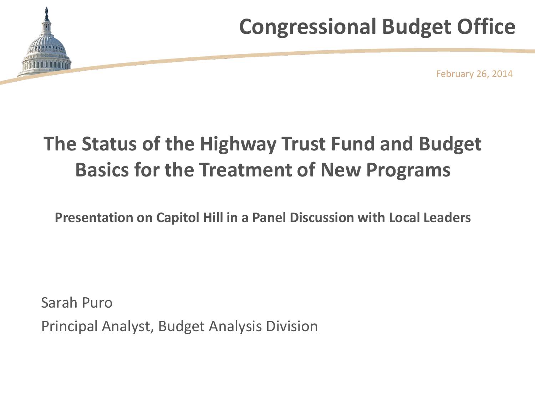# **Congressional Budget Office**



February 26, 2014

# **The Status of the Highway Trust Fund and Budget Basics for the Treatment of New Programs**

**Presentation on Capitol Hill in a Panel Discussion with Local Leaders**

Sarah Puro Principal Analyst, Budget Analysis Division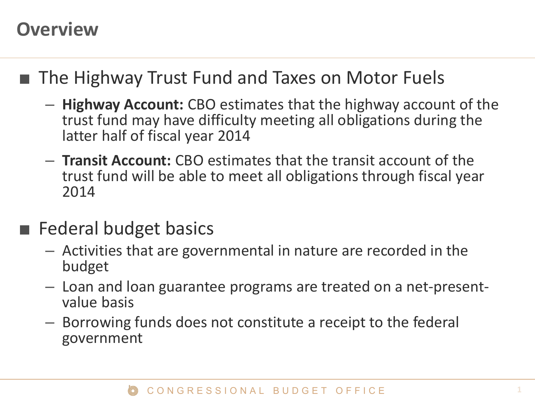### **Overview**

- The Highway Trust Fund and Taxes on Motor Fuels
	- **Highway Account:** CBO estimates that the highway account of the trust fund may have difficulty meeting all obligations during the latter half of fiscal year 2014
	- **Transit Account:** CBO estimates that the transit account of the trust fund will be able to meet all obligations through fiscal year 2014
- Federal budget basics
	- Activities that are governmental in nature are recorded in the budget
	- Loan and loan guarantee programs are treated on a net-presentvalue basis
	- Borrowing funds does not constitute a receipt to the federal government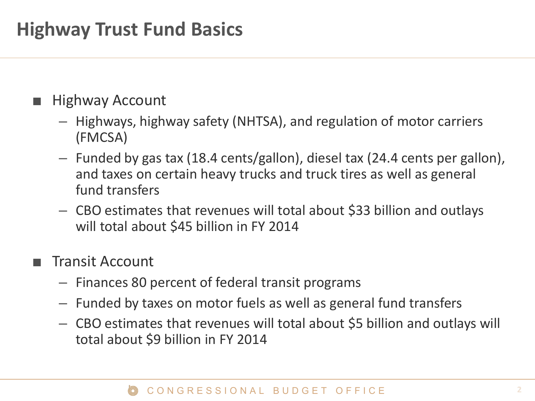### **Highway Trust Fund Basics**

### **Highway Account**

- Highways, highway safety (NHTSA), and regulation of motor carriers (FMCSA)
- Funded by gas tax (18.4 cents/gallon), diesel tax (24.4 cents per gallon), and taxes on certain heavy trucks and truck tires as well as general fund transfers
- CBO estimates that revenues will total about \$33 billion and outlays will total about \$45 billion in FY 2014

### ■ Transit Account

- Finances 80 percent of federal transit programs
- Funded by taxes on motor fuels as well as general fund transfers
- CBO estimates that revenues will total about \$5 billion and outlays will total about \$9 billion in FY 2014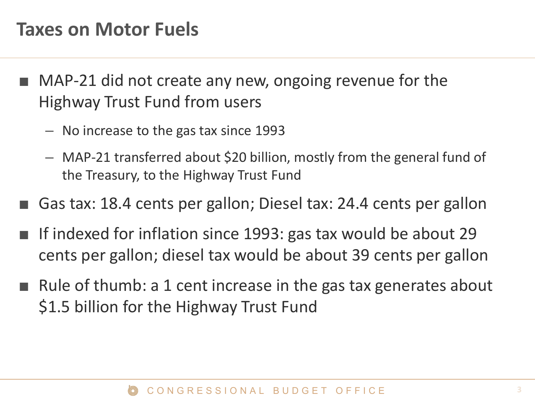### **Taxes on Motor Fuels**

- MAP-21 did not create any new, ongoing revenue for the Highway Trust Fund from users
	- No increase to the gas tax since 1993
	- MAP-21 transferred about \$20 billion, mostly from the general fund of the Treasury, to the Highway Trust Fund
- Gas tax: 18.4 cents per gallon; Diesel tax: 24.4 cents per gallon
- If indexed for inflation since 1993: gas tax would be about 29 cents per gallon; diesel tax would be about 39 cents per gallon
- Rule of thumb: a 1 cent increase in the gas tax generates about \$1.5 billion for the Highway Trust Fund

#### CONGRESSIONAL BUDGET OFFICE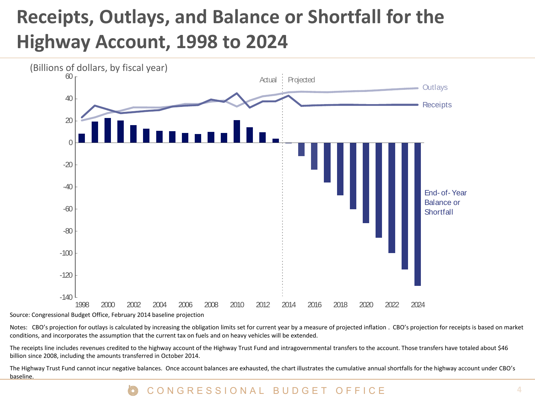## **Receipts, Outlays, and Balance or Shortfall for the Highway Account, 1998 to 2024**



Notes: CBO's projection for outlays is calculated by increasing the obligation limits set for current year by a measure of projected inflation . CBO's projection for receipts is based on market conditions, and incorporates the assumption that the current tax on fuels and on heavy vehicles will be extended.

The receipts line includes revenues credited to the highway account of the Highway Trust Fund and intragovernmental transfers to the account. Those transfers have totaled about \$46 billion since 2008, including the amounts transferred in October 2014.

The Highway Trust Fund cannot incur negative balances. Once account balances are exhausted, the chart illustrates the cumulative annual shortfalls for the highway account under CBO's baseline.

#### CONGRESSIONAL BUDGET OFFICE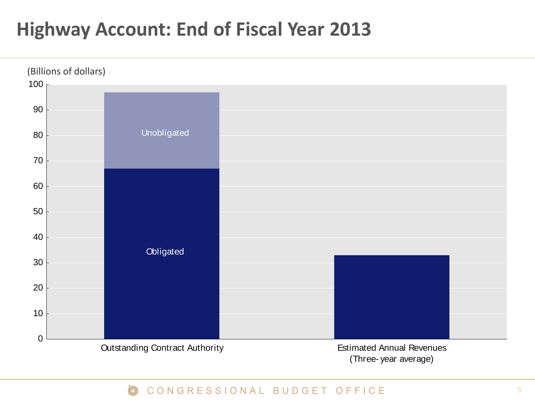### **Highway Account: End of Fiscal Year 2013**



#### CONGRESSIONAL BUDGET OFFICE  $\circledcirc$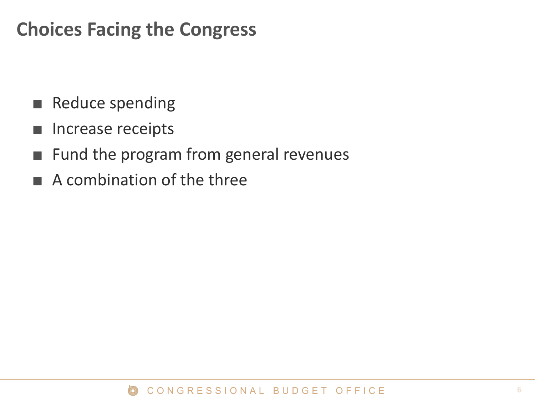- Reduce spending
- Increase receipts
- Fund the program from general revenues
- A combination of the three

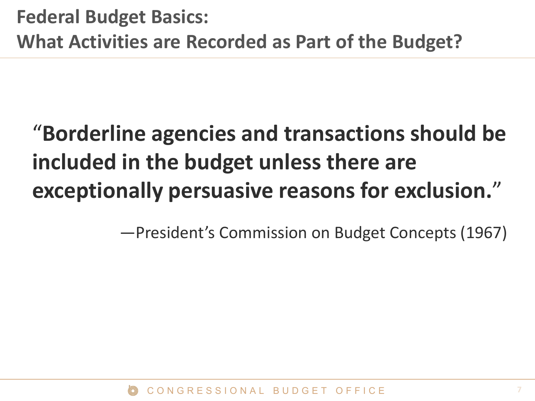# "**Borderline agencies and transactions should be included in the budget unless there are exceptionally persuasive reasons for exclusion.**"

—President's Commission on Budget Concepts (1967)

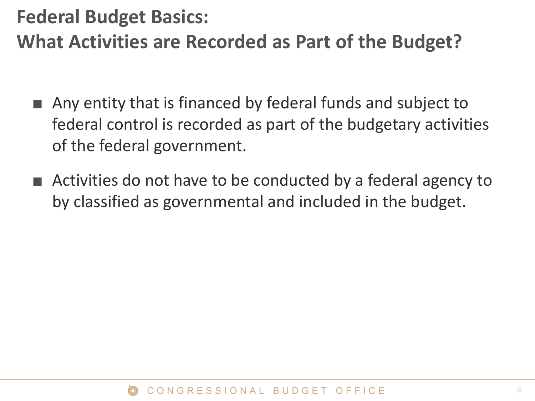## **Federal Budget Basics: What Activities are Recorded as Part of the Budget?**

- Any entity that is financed by federal funds and subject to federal control is recorded as part of the budgetary activities of the federal government.
- Activities do not have to be conducted by a federal agency to by classified as governmental and included in the budget.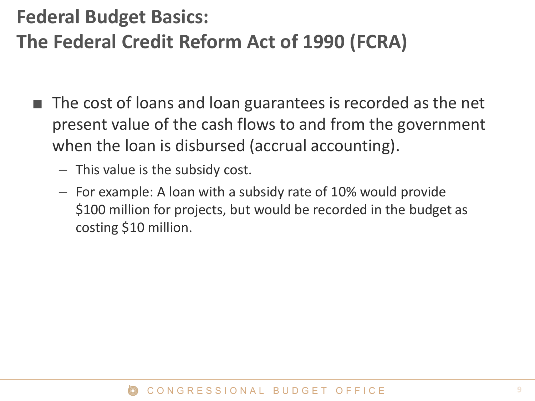## **Federal Budget Basics: The Federal Credit Reform Act of 1990 (FCRA)**

- The cost of loans and loan guarantees is recorded as the net present value of the cash flows to and from the government when the loan is disbursed (accrual accounting).
	- This value is the subsidy cost.
	- For example: A loan with a subsidy rate of 10% would provide \$100 million for projects, but would be recorded in the budget as costing \$10 million.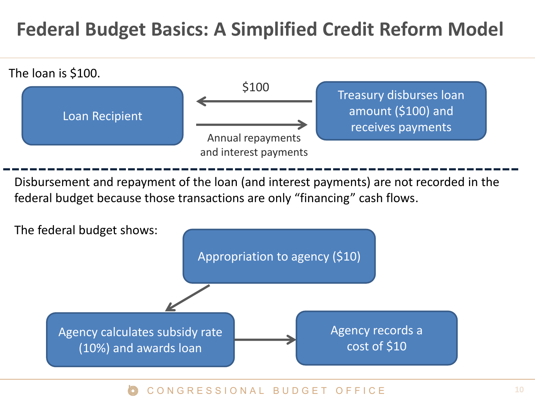### **Federal Budget Basics: A Simplified Credit Reform Model**



Disbursement and repayment of the loan (and interest payments) are not recorded in the federal budget because those transactions are only "financing" cash flows.



#### CONGRESSIONAL BUDGET OFFICE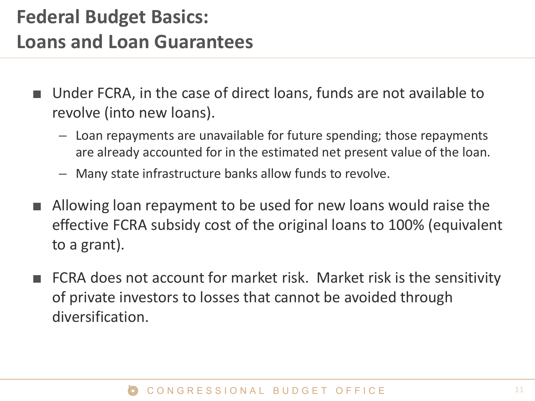## **Federal Budget Basics: Loans and Loan Guarantees**

- Under FCRA, in the case of direct loans, funds are not available to revolve (into new loans).
	- Loan repayments are unavailable for future spending; those repayments are already accounted for in the estimated net present value of the loan.
	- Many state infrastructure banks allow funds to revolve.
- Allowing loan repayment to be used for new loans would raise the effective FCRA subsidy cost of the original loans to 100% (equivalent to a grant).
- FCRA does not account for market risk. Market risk is the sensitivity of private investors to losses that cannot be avoided through diversification.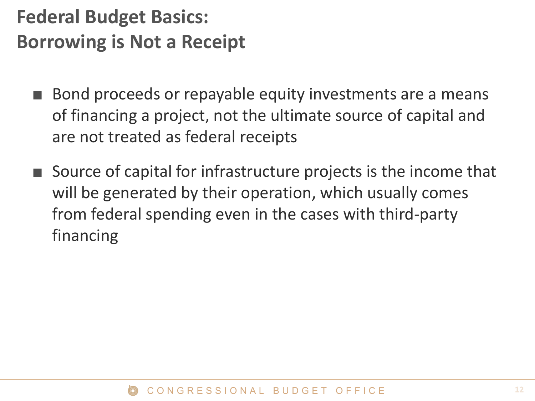- Bond proceeds or repayable equity investments are a means of financing a project, not the ultimate source of capital and are not treated as federal receipts
- Source of capital for infrastructure projects is the income that will be generated by their operation, which usually comes from federal spending even in the cases with third-party financing